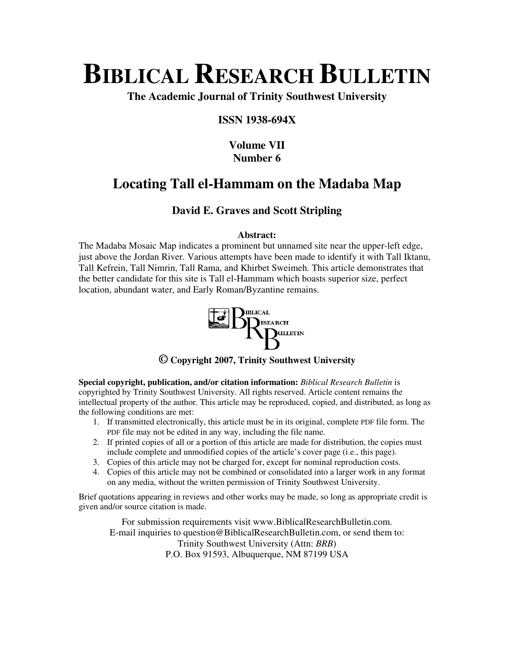# **BIBLICAL RESEARCH BULLETIN**

**The Academic Journal of Trinity Southwest University** 

## **ISSN 1938-694X**

## **Volume VII Number 6**

## **Locating Tall el-Hammam on the Madaba Map**

## **David E. Graves and Scott Stripling**

## **Abstract:**

The Madaba Mosaic Map indicates a prominent but unnamed site near the upper-left edge, just above the Jordan River. Various attempts have been made to identify it with Tall Iktanu, Tall Kefrein, Tall Nimrin, Tall Rama, and Khirbet Sweimeh. This article demonstrates that the better candidate for this site is Tall el-Hammam which boasts superior size, perfect location, abundant water, and Early Roman/Byzantine remains.



**© Copyright 2007, Trinity Southwest University** 

**Special copyright, publication, and/or citation information:** *Biblical Research Bulletin* is copyrighted by Trinity Southwest University. All rights reserved. Article content remains the intellectual property of the author. This article may be reproduced, copied, and distributed, as long as the following conditions are met:

- 1. If transmitted electronically, this article must be in its original, complete PDF file form. The PDF file may not be edited in any way, including the file name.
- 2. If printed copies of all or a portion of this article are made for distribution, the copies must include complete and unmodified copies of the article's cover page (i.e., this page).
- 3. Copies of this article may not be charged for, except for nominal reproduction costs.
- 4. Copies of this article may not be combined or consolidated into a larger work in any format on any media, without the written permission of Trinity Southwest University.

Brief quotations appearing in reviews and other works may be made, so long as appropriate credit is given and/or source citation is made.

For submission requirements visit www.BiblicalResearchBulletin.com. E-mail inquiries to question@BiblicalResearchBulletin.com, or send them to: Trinity Southwest University (Attn: *BRB*) P.O. Box 91593, Albuquerque, NM 87199 USA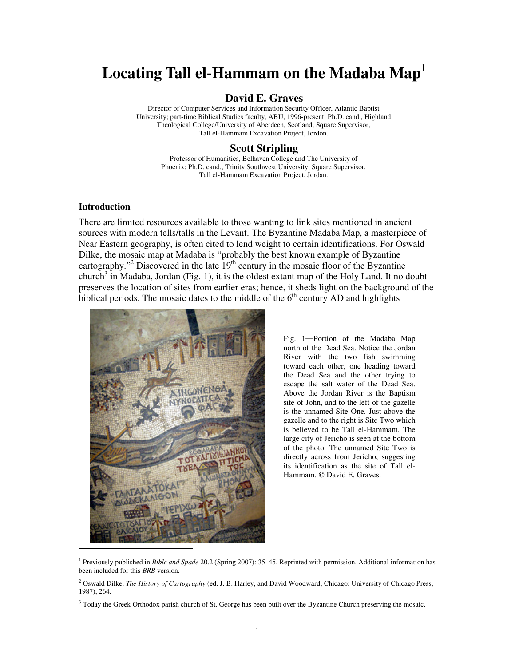# Locating Tall el-Hammam on the Madaba Map<sup>1</sup>

## **David E. Graves**

Director of Computer Services and Information Security Officer, Atlantic Baptist University; part-time Biblical Studies faculty, ABU, 1996-present; Ph.D. cand., Highland Theological College/University of Aberdeen, Scotland; Square Supervisor, Tall el-Hammam Excavation Project, Jordon.

#### **Scott Stripling**

Professor of Humanities, Belhaven College and The University of Phoenix; Ph.D. cand., Trinity Southwest University; Square Supervisor, Tall el-Hammam Excavation Project, Jordan.

#### **Introduction**

-

There are limited resources available to those wanting to link sites mentioned in ancient sources with modern tells/talls in the Levant. The Byzantine Madaba Map, a masterpiece of Near Eastern geography, is often cited to lend weight to certain identifications. For Oswald Dilke, the mosaic map at Madaba is "probably the best known example of Byzantine cartography."<sup>2</sup> Discovered in the late  $19<sup>th</sup>$  century in the mosaic floor of the Byzantine church<sup>3</sup> in Madaba, Jordan (Fig. 1), it is the oldest extant map of the Holy Land. It no doubt preserves the location of sites from earlier eras; hence, it sheds light on the background of the biblical periods. The mosaic dates to the middle of the  $6<sup>th</sup>$  century AD and highlights



Fig. 1—Portion of the Madaba Map north of the Dead Sea. Notice the Jordan River with the two fish swimming toward each other, one heading toward the Dead Sea and the other trying to escape the salt water of the Dead Sea. Above the Jordan River is the Baptism site of John, and to the left of the gazelle is the unnamed Site One. Just above the gazelle and to the right is Site Two which is believed to be Tall el-Hammam. The large city of Jericho is seen at the bottom of the photo. The unnamed Site Two is directly across from Jericho, suggesting its identification as the site of Tall el-Hammam. © David E. Graves.

<sup>1</sup> Previously published in *Bible and Spade* 20.2 (Spring 2007): 35–45. Reprinted with permission. Additional information has been included for this *BRB* version.

<sup>2</sup> Oswald Dilke, *The History of Cartography* (ed. J. B. Harley, and David Woodward; Chicago: University of Chicago Press, 1987), 264.

<sup>&</sup>lt;sup>3</sup> Today the Greek Orthodox parish church of St. George has been built over the Byzantine Church preserving the mosaic.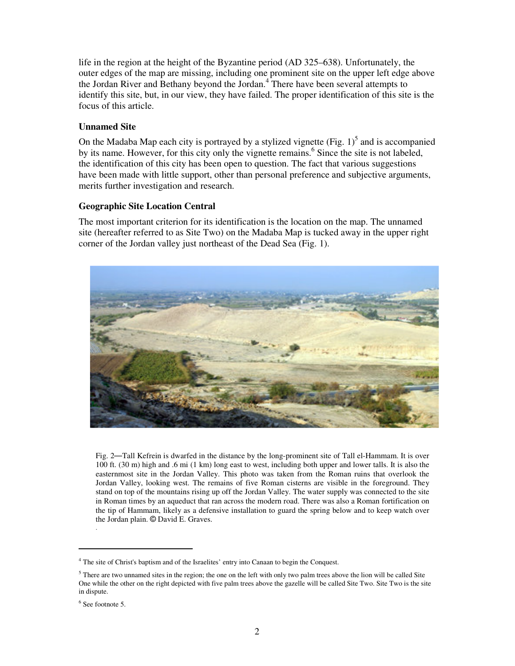life in the region at the height of the Byzantine period (AD 325–638). Unfortunately, the outer edges of the map are missing, including one prominent site on the upper left edge above the Jordan River and Bethany beyond the Jordan.<sup>4</sup> There have been several attempts to identify this site, but, in our view, they have failed. The proper identification of this site is the focus of this article.

#### **Unnamed Site**

On the Madaba Map each city is portrayed by a stylized vignette  $(Fig. 1)<sup>5</sup>$  and is accompanied by its name. However, for this city only the vignette remains.<sup>6</sup> Since the site is not labeled, the identification of this city has been open to question. The fact that various suggestions have been made with little support, other than personal preference and subjective arguments, merits further investigation and research.

#### **Geographic Site Location Central**

The most important criterion for its identification is the location on the map. The unnamed site (hereafter referred to as Site Two) on the Madaba Map is tucked away in the upper right corner of the Jordan valley just northeast of the Dead Sea (Fig. 1).



Fig. 2—Tall Kefrein is dwarfed in the distance by the long-prominent site of Tall el-Hammam. It is over 100 ft. (30 m) high and .6 mi (1 km) long east to west, including both upper and lower talls. It is also the easternmost site in the Jordan Valley. This photo was taken from the Roman ruins that overlook the Jordan Valley, looking west. The remains of five Roman cisterns are visible in the foreground. They stand on top of the mountains rising up off the Jordan Valley. The water supply was connected to the site in Roman times by an aqueduct that ran across the modern road. There was also a Roman fortification on the tip of Hammam, likely as a defensive installation to guard the spring below and to keep watch over the Jordan plain. © David E. Graves.

.

<sup>&</sup>lt;sup>4</sup> The site of Christ's baptism and of the Israelites' entry into Canaan to begin the Conquest.

 $<sup>5</sup>$  There are two unnamed sites in the region; the one on the left with only two palm trees above the lion will be called Site</sup> One while the other on the right depicted with five palm trees above the gazelle will be called Site Two. Site Two is the site in dispute.

<sup>6</sup> See footnote 5.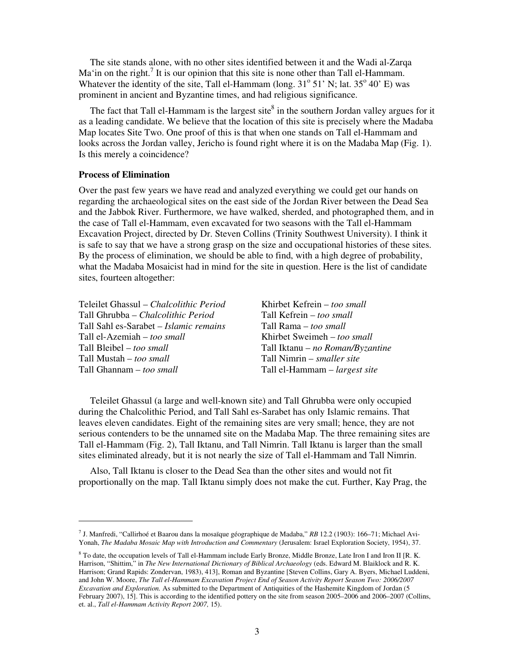The site stands alone, with no other sites identified between it and the Wadi al-Zarqa Ma'in on the right.<sup>7</sup> It is our opinion that this site is none other than Tall el-Hammam. Whatever the identity of the site, Tall el-Hammam (long.  $31^{\circ}$  51' N; lat.  $35^{\circ}$  40' E) was prominent in ancient and Byzantine times, and had religious significance.

The fact that Tall el-Hammam is the largest site $^8$  in the southern Jordan valley argues for it as a leading candidate. We believe that the location of this site is precisely where the Madaba Map locates Site Two. One proof of this is that when one stands on Tall el-Hammam and looks across the Jordan valley, Jericho is found right where it is on the Madaba Map (Fig. 1). Is this merely a coincidence?

#### **Process of Elimination**

-

Over the past few years we have read and analyzed everything we could get our hands on regarding the archaeological sites on the east side of the Jordan River between the Dead Sea and the Jabbok River. Furthermore, we have walked, sherded, and photographed them, and in the case of Tall el-Hammam, even excavated for two seasons with the Tall el-Hammam Excavation Project, directed by Dr. Steven Collins (Trinity Southwest University). I think it is safe to say that we have a strong grasp on the size and occupational histories of these sites. By the process of elimination, we should be able to find, with a high degree of probability, what the Madaba Mosaicist had in mind for the site in question. Here is the list of candidate sites, fourteen altogether:

| Teleilet Ghassul - Chalcolithic Period | Khirbet Kefrein – too small          |
|----------------------------------------|--------------------------------------|
| Tall Ghrubba – Chalcolithic Period     | Tall Kefrein – too small             |
| Tall Sahl es-Sarabet – Islamic remains | Tall Rama – too small                |
| Tall el-Azemiah – too small            | Khirbet Sweimeh – too small          |
| Tall Bleibel – too small               | Tall Iktanu – no Roman/Byzantine     |
| Tall Mustah – too small                | Tall Nimrin – <i>smaller site</i>    |
| Tall Ghannam - too small               | Tall el-Hammam – <i>largest site</i> |

Teleilet Ghassul (a large and well-known site) and Tall Ghrubba were only occupied during the Chalcolithic Period, and Tall Sahl es-Sarabet has only Islamic remains. That leaves eleven candidates. Eight of the remaining sites are very small; hence, they are not serious contenders to be the unnamed site on the Madaba Map. The three remaining sites are Tall el-Hammam (Fig. 2), Tall Iktanu, and Tall Nimrin. Tall Iktanu is larger than the small sites eliminated already, but it is not nearly the size of Tall el-Hammam and Tall Nimrin.

Also, Tall Iktanu is closer to the Dead Sea than the other sites and would not fit proportionally on the map. Tall Iktanu simply does not make the cut. Further, Kay Prag, the

<sup>7</sup> J. Manfredi, "Callirhoé et Baarou dans la mosaïque géographique de Madaba," *RB* 12.2 (1903): 166–71; Michael Avi-Yonah, *The Madaba Mosaic Map with Introduction and Commentary* (Jerusalem: Israel Exploration Society, 1954), 37.

<sup>&</sup>lt;sup>8</sup> To date, the occupation levels of Tall el-Hammam include Early Bronze, Middle Bronze, Late Iron I and Iron II [R. K. Harrison, "Shittim," in *The New International Dictionary of Biblical Archaeology* (eds. Edward M. Blaiklock and R. K. Harrison; Grand Rapids: Zondervan, 1983), 413], Roman and Byzantine [Steven Collins, Gary A. Byers, Michael Luddeni, and John W. Moore, *The Tall el-Hammam Excavation Project End of Season Activity Report Season Two: 2006/2007 Excavation and Exploration.* As submitted to the Department of Antiquities of the Hashemite Kingdom of Jordan (5 February 2007), 15]. This is according to the identified pottery on the site from season 2005–2006 and 2006–2007 (Collins, et. al., *Tall el-Hammam Activity Report 2007,* 15).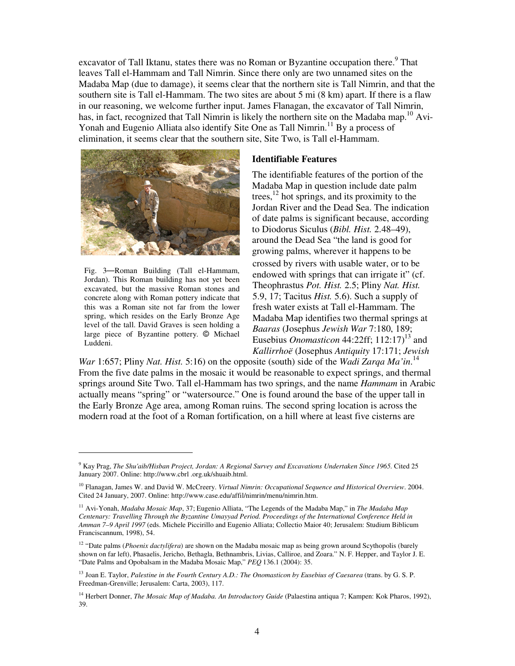excavator of Tall Iktanu, states there was no Roman or Byzantine occupation there.<sup>9</sup> That leaves Tall el-Hammam and Tall Nimrin. Since there only are two unnamed sites on the Madaba Map (due to damage), it seems clear that the northern site is Tall Nimrin, and that the southern site is Tall el-Hammam. The two sites are about 5 mi (8 km) apart. If there is a flaw in our reasoning, we welcome further input. James Flanagan, the excavator of Tall Nimrin, has, in fact, recognized that Tall Nimrin is likely the northern site on the Madaba map.<sup>10</sup> Avi-Yonah and Eugenio Alliata also identify Site One as Tall Nimrin.<sup>11</sup> By a process of elimination, it seems clear that the southern site, Site Two, is Tall el-Hammam.



Fig. 3—Roman Building (Tall el-Hammam, Jordan). This Roman building has not yet been excavated, but the massive Roman stones and concrete along with Roman pottery indicate that this was a Roman site not far from the lower spring, which resides on the Early Bronze Age level of the tall. David Graves is seen holding a large piece of Byzantine pottery. © Michael Luddeni.

-

#### **Identifiable Features**

The identifiable features of the portion of the Madaba Map in question include date palm trees,  $^{12}$  hot springs, and its proximity to the Jordan River and the Dead Sea. The indication of date palms is significant because, according to Diodorus Siculus (*Bibl. Hist.* 2.48–49), around the Dead Sea "the land is good for growing palms, wherever it happens to be crossed by rivers with usable water, or to be endowed with springs that can irrigate it" (cf. Theophrastus *Pot. Hist.* 2.5; Pliny *Nat. Hist.* 5.9, 17; Tacitus *Hist.* 5.6). Such a supply of fresh water exists at Tall el-Hammam. The Madaba Map identifies two thermal springs at *Baaras* (Josephus *Jewish War* 7:180, 189; Eusebius *Onomasticon* 44:22ff; 112:17 $1<sup>3</sup>$  and *Kallirrhoë* (Josephus *Antiquity* 17:171; *Jewish* 

*War* 1:657; Pliny *Nat. Hist.* 5:16) on the opposite (south) side of the *Wadi Zarqa Ma'in*.<sup>14</sup> From the five date palms in the mosaic it would be reasonable to expect springs, and thermal springs around Site Two. Tall el-Hammam has two springs, and the name *Hammam* in Arabic actually means "spring" or "watersource." One is found around the base of the upper tall in the Early Bronze Age area, among Roman ruins. The second spring location is across the modern road at the foot of a Roman fortification, on a hill where at least five cisterns are

<sup>9</sup> Kay Prag, *The Shu'aib/Hisban Project, Jordan: A Regional Survey and Excavations Undertaken Since 1965.* Cited 25 January 2007. Online: http://www.cbrl .org.uk/shuaib.html.

<sup>10</sup> Flanagan, James W. and David W. McCreery. *Virtual Nimrin: Occupational Sequence and Historical Overview*. 2004. Cited 24 January, 2007. Online: http://www.case.edu/affil/nimrin/menu/nimrin.htm.

<sup>11</sup> Avi-Yonah, *Madaba Mosaic Map*, 37; Eugenio Alliata, "The Legends of the Madaba Map," in *The Madaba Map Centenary: Travelling Through the Byzantine Umayyad Period. Proceedings of the International Conference Held in Amman 7–9 April 1997* (eds. Michele Piccirillo and Eugenio Alliata; Collectio Maior 40; Jerusalem: Studium Biblicum Franciscannum, 1998), 54.

<sup>&</sup>lt;sup>12</sup> "Date palms (*Phoenix dactylifera*) are shown on the Madaba mosaic map as being grown around Scythopolis (barely shown on far left), Phasaelis, Jericho, Bethagla, Bethnambris, Livias, Calliroe, and Zoara." N. F. Hepper, and Taylor J. E. "Date Palms and Opobalsam in the Madaba Mosaic Map," *PEQ* 136.1 (2004): 35.

<sup>13</sup> Joan E. Taylor, *Palestine in the Fourth Century A.D.: The Onomasticon by Eusebius of Caesarea* (trans. by G. S. P. Freedman-Grenville; Jerusalem: Carta, 2003), 117.

<sup>14</sup> Herbert Donner, *The Mosaic Map of Madaba. An Introductory Guide* (Palaestina antiqua 7; Kampen: Kok Pharos, 1992), 39.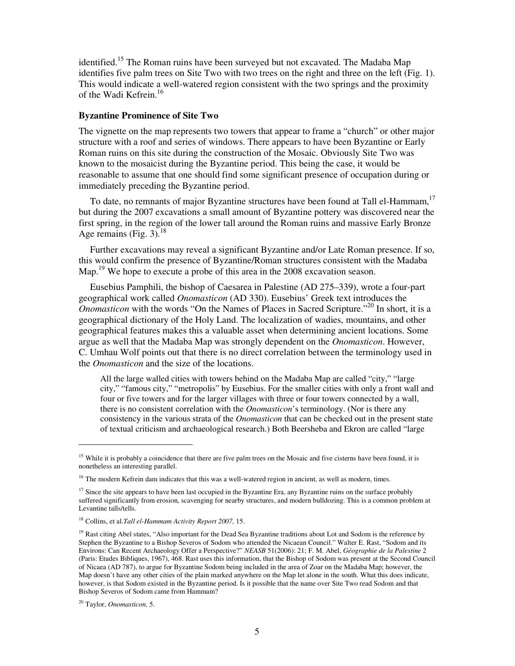identified.<sup>15</sup> The Roman ruins have been surveyed but not excavated. The Madaba Map identifies five palm trees on Site Two with two trees on the right and three on the left (Fig. 1). This would indicate a well-watered region consistent with the two springs and the proximity of the Wadi Kefrein.<sup>16</sup>

#### **Byzantine Prominence of Site Two**

The vignette on the map represents two towers that appear to frame a "church" or other major structure with a roof and series of windows. There appears to have been Byzantine or Early Roman ruins on this site during the construction of the Mosaic. Obviously Site Two was known to the mosaicist during the Byzantine period. This being the case, it would be reasonable to assume that one should find some significant presence of occupation during or immediately preceding the Byzantine period.

To date, no remnants of major Byzantine structures have been found at Tall el-Hammam,<sup>17</sup> but during the 2007 excavations a small amount of Byzantine pottery was discovered near the first spring, in the region of the lower tall around the Roman ruins and massive Early Bronze Age remains (Fig. 3). $18$ 

Further excavations may reveal a significant Byzantine and/or Late Roman presence. If so, this would confirm the presence of Byzantine/Roman structures consistent with the Madaba Map.<sup>19</sup> We hope to execute a probe of this area in the 2008 excavation season.

Eusebius Pamphili, the bishop of Caesarea in Palestine (AD 275–339), wrote a four-part geographical work called *Onomasticon* (AD 330). Eusebius' Greek text introduces the *Onomasticon* with the words "On the Names of Places in Sacred Scripture."<sup>20</sup> In short, it is a geographical dictionary of the Holy Land. The localization of wadies, mountains, and other geographical features makes this a valuable asset when determining ancient locations. Some argue as well that the Madaba Map was strongly dependent on the *Onomasticon*. However, C. Umhau Wolf points out that there is no direct correlation between the terminology used in the *Onomasticon* and the size of the locations.

All the large walled cities with towers behind on the Madaba Map are called "city," "large city," "famous city," "metropolis" by Eusebius. For the smaller cities with only a front wall and four or five towers and for the larger villages with three or four towers connected by a wall, there is no consistent correlation with the *Onomasticon*'s terminology. (Nor is there any consistency in the various strata of the *Onomasticon* that can be checked out in the present state of textual criticism and archaeological research.) Both Beersheba and Ekron are called "large

<sup>&</sup>lt;sup>15</sup> While it is probably a coincidence that there are five palm trees on the Mosaic and five cisterns have been found, it is nonetheless an interesting parallel.

<sup>&</sup>lt;sup>16</sup> The modern Kefrein dam indicates that this was a well-watered region in ancient, as well as modern, times.

 $17$  Since the site appears to have been last occupied in the Byzantine Era, any Byzantine ruins on the surface probably suffered significantly from erosion, scavenging for nearby structures, and modern bulldozing. This is a common problem at Levantine talls/tells.

<sup>18</sup> Collins, et al.*Tall el-Hammam Activity Report 2007,* 15.

<sup>&</sup>lt;sup>19</sup> Rast citing Abel states, "Also important for the Dead Sea Byzantine traditions about Lot and Sodom is the reference by Stephen the Byzantine to a Bishop Severos of Sodom who attended the Nicaean Council." Walter E. Rast, "Sodom and its Environs: Can Recent Archaeology Offer a Perspective?" *NEASB* 51(2006): 21; F. M. Abel, *Géographie de la Palestine* 2 (Paris: Etudes Bibliques, 1967), 468. Rast uses this information, that the Bishop of Sodom was present at the Second Council of Nicaea (AD 787), to argue for Byzantine Sodom being included in the area of Zoar on the Madaba Map; however, the Map doesn't have any other cities of the plain marked anywhere on the Map let alone in the south. What this does indicate, however, is that Sodom existed in the Byzantine period. Is it possible that the name over Site Two read Sodom and that Bishop Severos of Sodom came from Hammam?

<sup>20</sup> Taylor, *Onomasticon,* 5.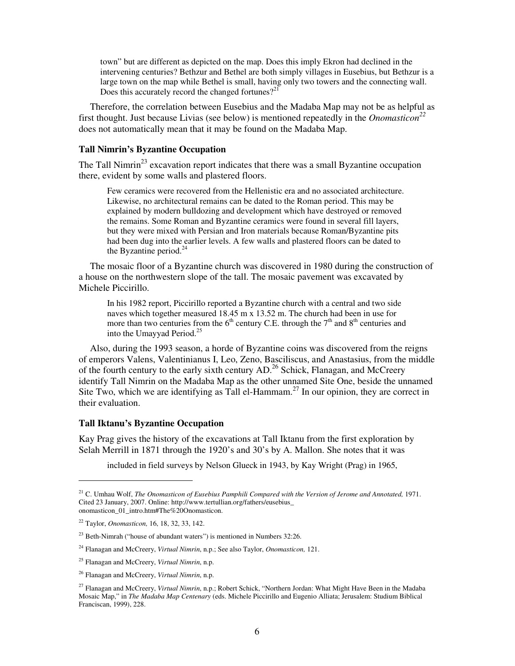town" but are different as depicted on the map. Does this imply Ekron had declined in the intervening centuries? Bethzur and Bethel are both simply villages in Eusebius, but Bethzur is a large town on the map while Bethel is small, having only two towers and the connecting wall. Does this accurately record the changed fortunes?<sup>21</sup>

Therefore, the correlation between Eusebius and the Madaba Map may not be as helpful as first thought. Just because Livias (see below) is mentioned repeatedly in the *Onomasticon<sup>22</sup>* does not automatically mean that it may be found on the Madaba Map.

#### **Tall Nimrin's Byzantine Occupation**

The Tall Nimrin<sup>23</sup> excavation report indicates that there was a small Byzantine occupation there, evident by some walls and plastered floors.

Few ceramics were recovered from the Hellenistic era and no associated architecture. Likewise, no architectural remains can be dated to the Roman period. This may be explained by modern bulldozing and development which have destroyed or removed the remains. Some Roman and Byzantine ceramics were found in several fill layers, but they were mixed with Persian and Iron materials because Roman/Byzantine pits had been dug into the earlier levels. A few walls and plastered floors can be dated to the Byzantine period. $24$ 

The mosaic floor of a Byzantine church was discovered in 1980 during the construction of a house on the northwestern slope of the tall. The mosaic pavement was excavated by Michele Piccirillo.

In his 1982 report, Piccirillo reported a Byzantine church with a central and two side naves which together measured 18.45 m x 13.52 m. The church had been in use for more than two centuries from the  $6<sup>th</sup>$  century C.E. through the  $7<sup>th</sup>$  and  $8<sup>th</sup>$  centuries and into the Umayyad Period.<sup>25</sup>

Also, during the 1993 season, a horde of Byzantine coins was discovered from the reigns of emperors Valens, Valentinianus I, Leo, Zeno, Basciliscus, and Anastasius, from the middle of the fourth century to the early sixth century  $AD<sup>26</sup>$  Schick, Flanagan, and McCreery identify Tall Nimrin on the Madaba Map as the other unnamed Site One, beside the unnamed Site Two, which we are identifying as Tall el-Hammam.<sup>27</sup> In our opinion, they are correct in their evaluation.

#### **Tall Iktanu's Byzantine Occupation**

Kay Prag gives the history of the excavations at Tall Iktanu from the first exploration by Selah Merrill in 1871 through the 1920's and 30's by A. Mallon. She notes that it was

included in field surveys by Nelson Glueck in 1943, by Kay Wright (Prag) in 1965,

<sup>&</sup>lt;sup>21</sup> C. Umhau Wolf, *The Onomasticon of Eusebius Pamphili Compared with the Version of Jerome and Annotated, 1971.* Cited 23 January, 2007. Online: http://www.tertullian.org/fathers/eusebius\_ onomasticon\_01\_intro.htm#The%20Onomasticon.

<sup>22</sup> Taylor, *Onomasticon,* 16, 18, 32, 33, 142.

 $23$  Beth-Nimrah ("house of abundant waters") is mentioned in Numbers 32:26.

<sup>24</sup> Flanagan and McCreery, *Virtual Nimrin*, n.p.; See also Taylor, *Onomasticon,* 121.

<sup>25</sup> Flanagan and McCreery, *Virtual Nimrin*, n.p.

<sup>26</sup> Flanagan and McCreery, *Virtual Nimrin*, n.p.

<sup>27</sup> Flanagan and McCreery, *Virtual Nimrin*, n.p.; Robert Schick, "Northern Jordan: What Might Have Been in the Madaba Mosaic Map," in *The Madaba Map Centenary* (eds. Michele Piccirillo and Eugenio Alliata; Jerusalem: Studium Biblical Franciscan, 1999), 228.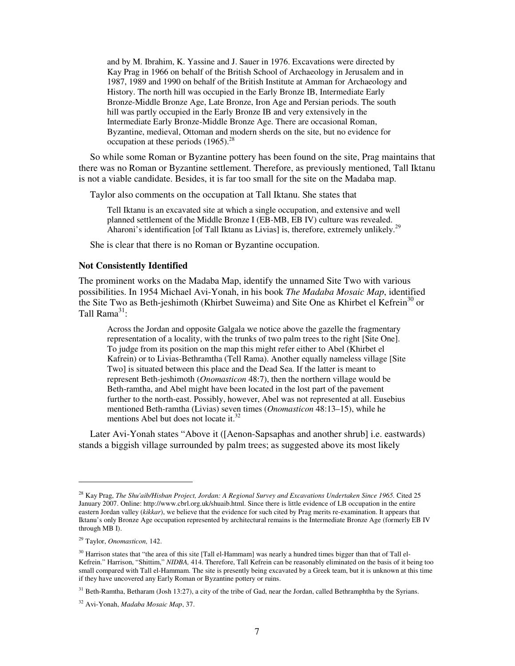and by M. Ibrahim, K. Yassine and J. Sauer in 1976. Excavations were directed by Kay Prag in 1966 on behalf of the British School of Archaeology in Jerusalem and in 1987, 1989 and 1990 on behalf of the British Institute at Amman for Archaeology and History. The north hill was occupied in the Early Bronze IB, Intermediate Early Bronze-Middle Bronze Age, Late Bronze, Iron Age and Persian periods. The south hill was partly occupied in the Early Bronze IB and very extensively in the Intermediate Early Bronze-Middle Bronze Age. There are occasional Roman, Byzantine, medieval, Ottoman and modern sherds on the site, but no evidence for occupation at these periods  $(1965)^{28}$ 

So while some Roman or Byzantine pottery has been found on the site, Prag maintains that there was no Roman or Byzantine settlement. Therefore, as previously mentioned, Tall Iktanu is not a viable candidate. Besides, it is far too small for the site on the Madaba map.

Taylor also comments on the occupation at Tall Iktanu. She states that

Tell Iktanu is an excavated site at which a single occupation, and extensive and well planned settlement of the Middle Bronze I (EB-MB, EB IV) culture was revealed. Aharoni's identification [of Tall Iktanu as Livias] is, therefore, extremely unlikely.<sup>29</sup>

She is clear that there is no Roman or Byzantine occupation.

#### **Not Consistently Identified**

The prominent works on the Madaba Map, identify the unnamed Site Two with various possibilities. In 1954 Michael Avi-Yonah, in his book *The Madaba Mosaic Map*, identified the Site Two as Beth-jeshimoth (Khirbet Suweima) and Site One as Khirbet el Kefrein<sup>30</sup> or Tall  $\text{Rama}^{31}$ :

Across the Jordan and opposite Galgala we notice above the gazelle the fragmentary representation of a locality, with the trunks of two palm trees to the right [Site One]. To judge from its position on the map this might refer either to Abel (Khirbet el Kafrein) or to Livias-Bethramtha (Tell Rama). Another equally nameless village [Site Two] is situated between this place and the Dead Sea. If the latter is meant to represent Beth-jeshimoth (*Onomasticon* 48:7), then the northern village would be Beth-ramtha, and Abel might have been located in the lost part of the pavement further to the north-east. Possibly, however, Abel was not represented at all. Eusebius mentioned Beth-ramtha (Livias) seven times (*Onomasticon* 48:13–15), while he mentions Abel but does not locate it.<sup>32</sup>

Later Avi-Yonah states "Above it ([Aenon-Sapsaphas and another shrub] i.e. eastwards) stands a biggish village surrounded by palm trees; as suggested above its most likely

<sup>28</sup> Kay Prag, *The Shu'aib/Hisban Project, Jordan: A Regional Survey and Excavations Undertaken Since 1965.* Cited 25 January 2007. Online: http://www.cbrl.org.uk/shuaib.html. Since there is little evidence of LB occupation in the entire eastern Jordan valley (*kikkar*), we believe that the evidence for such cited by Prag merits re-examination. It appears that Iktanu's only Bronze Age occupation represented by architectural remains is the Intermediate Bronze Age (formerly EB IV through MB I).

<sup>29</sup> Taylor, *Onomasticon,* 142.

 $30$  Harrison states that "the area of this site [Tall el-Hammam] was nearly a hundred times bigger than that of Tall el-Kefrein." Harrison, "Shittim," *NIDBA,* 414. Therefore, Tall Kefrein can be reasonably eliminated on the basis of it being too small compared with Tall el-Hammam. The site is presently being excavated by a Greek team, but it is unknown at this time if they have uncovered any Early Roman or Byzantine pottery or ruins.

<sup>&</sup>lt;sup>31</sup> Beth-Ramtha, Betharam (Josh 13:27), a city of the tribe of Gad, near the Jordan, called Bethramphtha by the Syrians.

<sup>32</sup> Avi-Yonah, *Madaba Mosaic Map*, 37.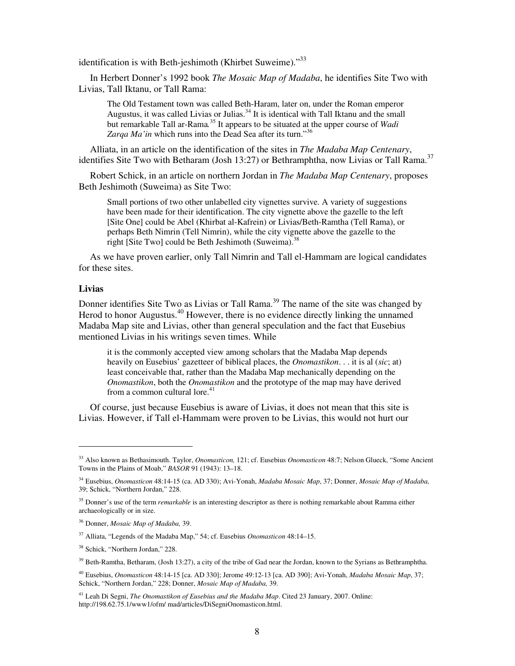identification is with Beth-jeshimoth (Khirbet Suweime)."<sup>33</sup>

In Herbert Donner's 1992 book *The Mosaic Map of Madaba*, he identifies Site Two with Livias, Tall Iktanu, or Tall Rama:

The Old Testament town was called Beth-Haram, later on, under the Roman emperor Augustus, it was called Livias or Julias. $34$  It is identical with Tall Iktanu and the small but remarkable Tall ar-Rama*.* <sup>35</sup> It appears to be situated at the upper course of *Wadi*  Zarqa Ma'in which runs into the Dead Sea after its turn."<sup>36</sup>

Alliata, in an article on the identification of the sites in *The Madaba Map Centenary*, identifies Site Two with Betharam (Josh 13:27) or Bethramphtha, now Livias or Tall Rama.<sup>37</sup>

Robert Schick, in an article on northern Jordan in *The Madaba Map Centenary*, proposes Beth Jeshimoth (Suweima) as Site Two:

Small portions of two other unlabelled city vignettes survive. A variety of suggestions have been made for their identification. The city vignette above the gazelle to the left [Site One] could be Abel (Khirbat al-Kafrein) or Livias/Beth-Ramtha (Tell Rama), or perhaps Beth Nimrin (Tell Nimrin), while the city vignette above the gazelle to the right [Site Two] could be Beth Jeshimoth (Suweima). $38$ 

As we have proven earlier, only Tall Nimrin and Tall el-Hammam are logical candidates for these sites.

#### **Livias**

-

Donner identifies Site Two as Livias or Tall Rama.<sup>39</sup> The name of the site was changed by Herod to honor Augustus.<sup>40</sup> However, there is no evidence directly linking the unnamed Madaba Map site and Livias, other than general speculation and the fact that Eusebius mentioned Livias in his writings seven times. While

it is the commonly accepted view among scholars that the Madaba Map depends heavily on Eusebius' gazetteer of biblical places, the *Onomastikon*. . . it is al (*sic*; at) least conceivable that, rather than the Madaba Map mechanically depending on the *Onomastikon*, both the *Onomastikon* and the prototype of the map may have derived from a common cultural lore.<sup>41</sup>

Of course, just because Eusebius is aware of Livias, it does not mean that this site is Livias. However, if Tall el-Hammam were proven to be Livias, this would not hurt our

<sup>33</sup> Also known as Bethasimouth. Taylor, *Onomasticon,* 121; cf. Eusebius *Onomasticon* 48:7; Nelson Glueck, "Some Ancient Towns in the Plains of Moab," *BASOR* 91 (1943): 13–18.

<sup>34</sup> Eusebius, *Onomasticon* 48:14-15 (ca. AD 330); Avi-Yonah, *Madaba Mosaic Map*, 37; Donner, *Mosaic Map of Madaba,*  39; Schick, "Northern Jordan," 228.

<sup>35</sup> Donner's use of the term *remarkable* is an interesting descriptor as there is nothing remarkable about Ramma either archaeologically or in size.

<sup>36</sup> Donner, *Mosaic Map of Madaba,* 39.

<sup>37</sup> Alliata, "Legends of the Madaba Map," 54; cf. Eusebius *Onomasticon* 48:14–15.

<sup>38</sup> Schick, "Northern Jordan," 228.

 $39$  Beth-Ramtha, Betharam, (Josh 13:27), a city of the tribe of Gad near the Jordan, known to the Syrians as Bethramphtha.

<sup>40</sup> Eusebius, *Onomasticon* 48:14-15 [ca. AD 330]; Jerome 49:12-13 [ca. AD 390]; Avi-Yonah, *Madaba Mosaic Map*, 37; Schick, "Northern Jordan," 228; Donner, *Mosaic Map of Madaba,* 39.

<sup>41</sup> Leah Di Segni, *The Onomastikon of Eusebius and the Madaba Map*. Cited 23 January, 2007. Online: http://198.62.75.1/www1/ofm/ mad/articles/DiSegniOnomasticon.html.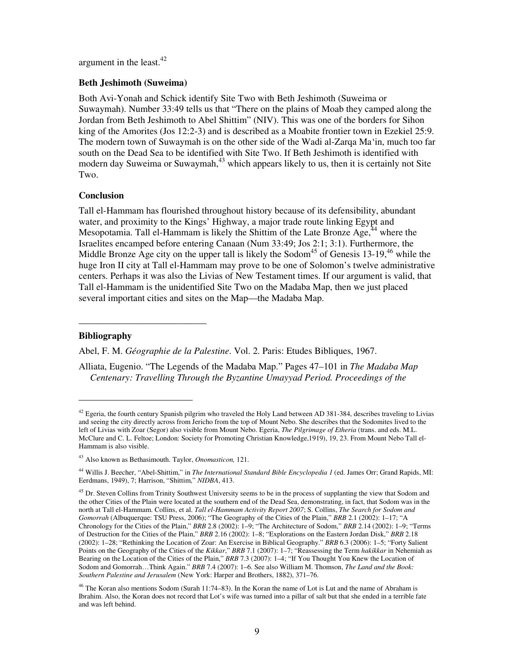argument in the least. $42$ 

#### **Beth Jeshimoth (Suweima)**

Both Avi-Yonah and Schick identify Site Two with Beth Jeshimoth (Suweima or Suwaymah). Number 33:49 tells us that "There on the plains of Moab they camped along the Jordan from Beth Jeshimoth to Abel Shittim" (NIV). This was one of the borders for Sihon king of the Amorites (Jos 12:2-3) and is described as a Moabite frontier town in Ezekiel 25:9. The modern town of Suwaymah is on the other side of the Wadi al-Zarqa Ma'in, much too far south on the Dead Sea to be identified with Site Two. If Beth Jeshimoth is identified with modern day Suweima or Suwaymah,  $43$  which appears likely to us, then it is certainly not Site Two.

#### **Conclusion**

Tall el-Hammam has flourished throughout history because of its defensibility, abundant water, and proximity to the Kings' Highway, a major trade route linking Egypt and Mesopotamia. Tall el-Hammam is likely the Shittim of the Late Bronze  $Age<sub>14</sub><sup>44</sup>$  where the Israelites encamped before entering Canaan (Num 33:49; Jos 2:1; 3:1). Furthermore, the Middle Bronze Age city on the upper tall is likely the Sodom<sup>45</sup> of Genesis  $13{\text{-}}19,46$  while the huge Iron II city at Tall el-Hammam may prove to be one of Solomon's twelve administrative centers. Perhaps it was also the Livias of New Testament times. If our argument is valid, that Tall el-Hammam is the unidentified Site Two on the Madaba Map, then we just placed several important cities and sites on the Map—the Madaba Map.

#### **Bibliography**

-

**\_\_\_\_\_\_\_\_\_\_\_\_\_\_\_\_\_\_\_\_\_\_\_\_\_\_\_** 

Abel, F. M. *Géographie de la Palestine*. Vol. 2. Paris: Etudes Bibliques, 1967.

Alliata, Eugenio. "The Legends of the Madaba Map." Pages 47–101 in *The Madaba Map Centenary: Travelling Through the Byzantine Umayyad Period. Proceedings of the* 

 $42$  Egeria, the fourth century Spanish pilgrim who traveled the Holy Land between AD 381-384, describes traveling to Livias and seeing the city directly across from Jericho from the top of Mount Nebo. She describes that the Sodomites lived to the left of Livias with Zoar (Segor) also visible from Mount Nebo. Egeria, *The Pilgrimage of Etheria* (trans. and eds. M.L. McClure and C. L. Feltoe; London: Society for Promoting Christian Knowledge,1919), 19, 23. From Mount Nebo Tall el-Hammam is also visible.

<sup>43</sup> Also known as Bethasimouth. Taylor, *Onomasticon,* 121.

<sup>44</sup> Willis J. Beecher, "Abel-Shittim," in *The International Standard Bible Encyclopedia 1* (ed. James Orr; Grand Rapids, MI: Eerdmans, 1949), 7; Harrison, "Shittim," *NIDBA*, 413.

<sup>&</sup>lt;sup>45</sup> Dr. Steven Collins from Trinity Southwest University seems to be in the process of supplanting the view that Sodom and the other Cities of the Plain were located at the southern end of the Dead Sea, demonstrating, in fact, that Sodom was in the north at Tall el-Hammam. Collins, et al. *Tall el-Hammam Activity Report 2007*; S. Collins, *The Search for Sodom and Gomorrah* (Albuquerque: TSU Press, 2006); "The Geography of the Cities of the Plain," *BRB* 2.1 (2002): 1–17; "A Chronology for the Cities of the Plain," *BRB* 2.8 (2002): 1–9; "The Architecture of Sodom," *BRB* 2.14 (2002): 1–9; "Terms of Destruction for the Cities of the Plain," *BRB* 2.16 (2002): 1–8; "Explorations on the Eastern Jordan Disk," *BRB* 2.18 (2002): 1–28; "Rethinking the Location of Zoar: An Exercise in Biblical Geography." *BRB* 6.3 (2006): 1–5; "Forty Salient Points on the Geography of the Cities of the *Kikkar*," *BRB* 7.1 (2007): 1–7; "Reassessing the Term *hakikkar* in Nehemiah as Bearing on the Location of the Cities of the Plain," *BRB* 7.3 (2007): 1–4; "If You Thought You Knew the Location of Sodom and Gomorrah…Think Again." *BRB* 7.4 (2007): 1–6. See also William M. Thomson, *The Land and the Book: Southern Palestine and Jerusalem* (New York: Harper and Brothers, 1882), 371–76.

<sup>&</sup>lt;sup>46</sup> The Koran also mentions Sodom (Surah 11:74–83). In the Koran the name of Lot is Lut and the name of Abraham is Ibrahim. Also, the Koran does not record that Lot's wife was turned into a pillar of salt but that she ended in a terrible fate and was left behind.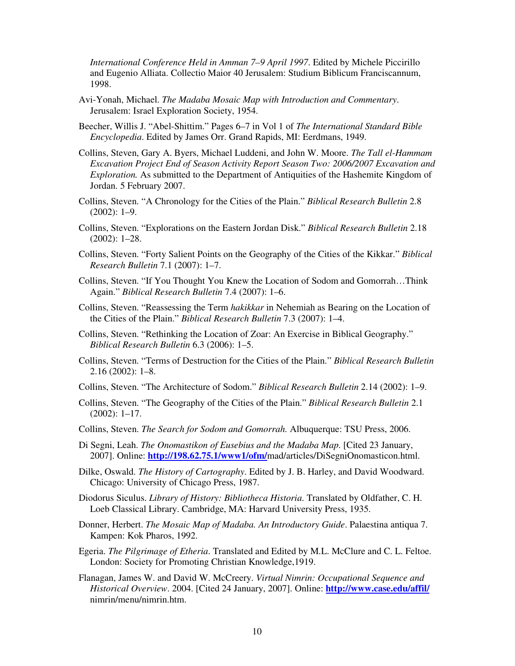*International Conference Held in Amman 7–9 April 1997*. Edited by Michele Piccirillo and Eugenio Alliata. Collectio Maior 40 Jerusalem: Studium Biblicum Franciscannum, 1998.

- Avi-Yonah, Michael. *The Madaba Mosaic Map with Introduction and Commentary*. Jerusalem: Israel Exploration Society, 1954.
- Beecher, Willis J. "Abel-Shittim." Pages 6–7 in Vol 1 of *The International Standard Bible Encyclopedia*. Edited by James Orr. Grand Rapids, MI: Eerdmans, 1949.
- Collins, Steven, Gary A. Byers, Michael Luddeni, and John W. Moore. *The Tall el-Hammam Excavation Project End of Season Activity Report Season Two: 2006/2007 Excavation and Exploration.* As submitted to the Department of Antiquities of the Hashemite Kingdom of Jordan. 5 February 2007.
- Collins, Steven. "A Chronology for the Cities of the Plain." *Biblical Research Bulletin* 2.8 (2002): 1–9.
- Collins, Steven. "Explorations on the Eastern Jordan Disk." *Biblical Research Bulletin* 2.18 (2002): 1–28.
- Collins, Steven. "Forty Salient Points on the Geography of the Cities of the Kikkar." *Biblical Research Bulletin* 7.1 (2007): 1–7.
- Collins, Steven. "If You Thought You Knew the Location of Sodom and Gomorrah…Think Again." *Biblical Research Bulletin* 7.4 (2007): 1–6.
- Collins, Steven. "Reassessing the Term *hakikkar* in Nehemiah as Bearing on the Location of the Cities of the Plain." *Biblical Research Bulletin* 7.3 (2007): 1–4.
- Collins, Steven. "Rethinking the Location of Zoar: An Exercise in Biblical Geography." *Biblical Research Bulletin* 6.3 (2006): 1–5.
- Collins, Steven. "Terms of Destruction for the Cities of the Plain." *Biblical Research Bulletin*  2.16 (2002): 1–8.
- Collins, Steven. "The Architecture of Sodom." *Biblical Research Bulletin* 2.14 (2002): 1–9.
- Collins, Steven. "The Geography of the Cities of the Plain." *Biblical Research Bulletin* 2.1 (2002): 1–17.
- Collins, Steven. *The Search for Sodom and Gomorrah.* Albuquerque: TSU Press, 2006.
- Di Segni, Leah. *The Onomastikon of Eusebius and the Madaba Map*. [Cited 23 January, 2007]. Online: **http://198.62.75.1/www1/ofm/**mad/articles/DiSegniOnomasticon.html.
- Dilke, Oswald. *The History of Cartography*. Edited by J. B. Harley, and David Woodward. Chicago: University of Chicago Press, 1987.
- Diodorus Siculus. *Library of History: Bibliotheca Historia*. Translated by Oldfather, C. H. Loeb Classical Library. Cambridge, MA: Harvard University Press, 1935.
- Donner, Herbert. *The Mosaic Map of Madaba. An Introductory Guide*. Palaestina antiqua 7. Kampen: Kok Pharos, 1992.
- Egeria. *The Pilgrimage of Etheria*. Translated and Edited by M.L. McClure and C. L. Feltoe. London: Society for Promoting Christian Knowledge,1919.
- Flanagan, James W. and David W. McCreery. *Virtual Nimrin: Occupational Sequence and Historical Overview*. 2004. [Cited 24 January, 2007]. Online: **http://www.case.edu/affil/** nimrin/menu/nimrin.htm.